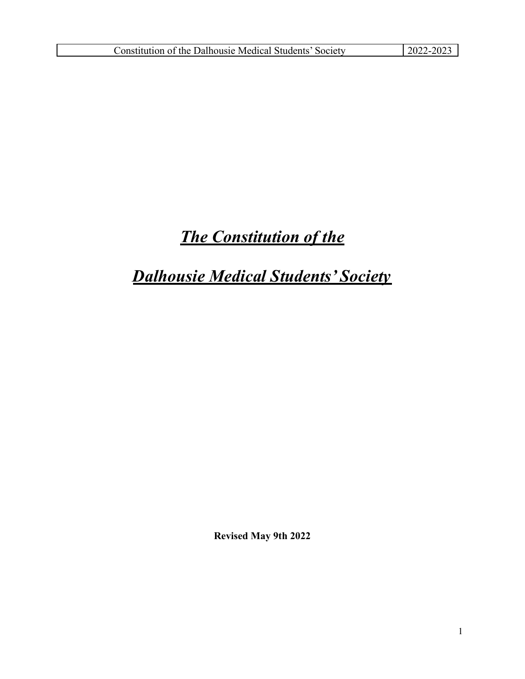# *The Constitution of the*

# *Dalhousie Medical Students' Society*

**Revised May 9th 2022**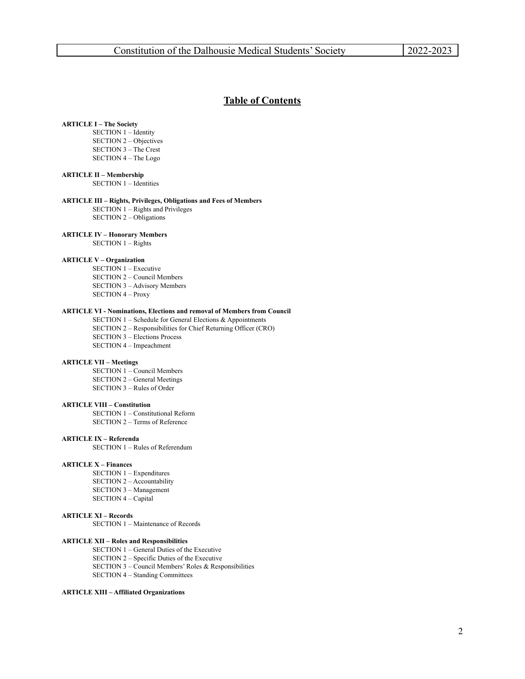#### **Table of Contents**

#### **ARTICLE I – The Society**

SECTION 1 – Identity SECTION 2 – Objectives SECTION 3 – The Crest SECTION 4 – The Logo

#### **ARTICLE II – Membership**

SECTION 1 – Identities

#### **ARTICLE III – Rights, Privileges, Obligations and Fees of Members**

SECTION 1 – Rights and Privileges SECTION 2 – Obligations

#### **ARTICLE IV – Honorary Members**

SECTION 1 – Rights

#### **ARTICLE V – Organization**

SECTION 1 – Executive SECTION 2 – Council Members SECTION 3 – Advisory Members SECTION 4 – Proxy

#### **ARTICLE VI - Nominations, Elections and removal of Members from Council**

SECTION  $1$  – Schedule for General Elections & Appointments SECTION 2 – Responsibilities for Chief Returning Officer (CRO) SECTION 3 – Elections Process SECTION 4 – Impeachment

#### **ARTICLE VII – Meetings**

SECTION 1 – Council Members SECTION 2 – General Meetings SECTION 3 – Rules of Order

#### **ARTICLE VIII – Constitution**

SECTION 1 – Constitutional Reform SECTION 2 – Terms of Reference

#### **ARTICLE IX – Referenda**

SECTION 1 – Rules of Referendum

#### **ARTICLE X – Finances**

SECTION 1 – Expenditures SECTION 2 – Accountability SECTION 3 – Management SECTION 4 – Capital

#### **ARTICLE XI – Records**

SECTION 1 – Maintenance of Records

#### **ARTICLE XII – Roles and Responsibilities**

SECTION 1 – General Duties of the Executive SECTION 2 – Specific Duties of the Executive SECTION 3 – Council Members' Roles & Responsibilities SECTION 4 – Standing Committees

#### **ARTICLE XIII – Affiliated Organizations**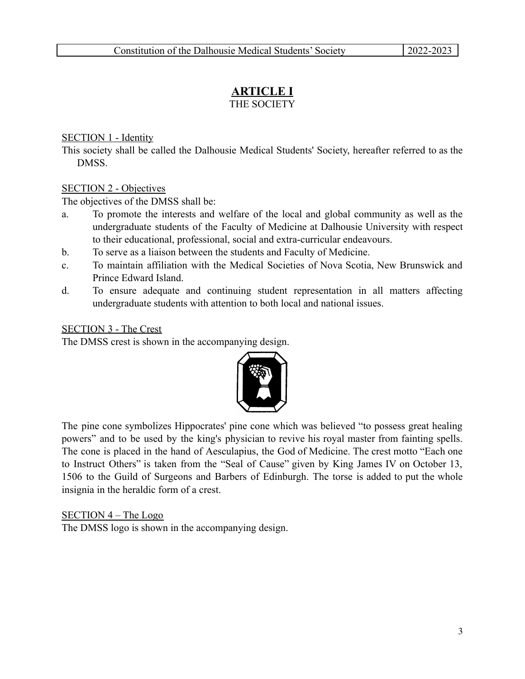### **ARTICLE I** THE SOCIETY

### SECTION 1 - Identity

This society shall be called the Dalhousie Medical Students' Society, hereafter referred to as the DMSS.

#### SECTION 2 - Objectives

The objectives of the DMSS shall be:

- a. To promote the interests and welfare of the local and global community as well as the undergraduate students of the Faculty of Medicine at Dalhousie University with respect to their educational, professional, social and extra-curricular endeavours.
- b. To serve as a liaison between the students and Faculty of Medicine.
- c. To maintain affiliation with the Medical Societies of Nova Scotia, New Brunswick and Prince Edward Island.
- d. To ensure adequate and continuing student representation in all matters affecting undergraduate students with attention to both local and national issues.

#### SECTION 3 - The Crest

The DMSS crest is shown in the accompanying design.



The pine cone symbolizes Hippocrates' pine cone which was believed "to possess great healing powers" and to be used by the king's physician to revive his royal master from fainting spells. The cone is placed in the hand of Aesculapius, the God of Medicine. The crest motto "Each one to Instruct Others" is taken from the "Seal of Cause" given by King James IV on October 13, 1506 to the Guild of Surgeons and Barbers of Edinburgh. The torse is added to put the whole insignia in the heraldic form of a crest.

SECTION 4 – The Logo

The DMSS logo is shown in the accompanying design.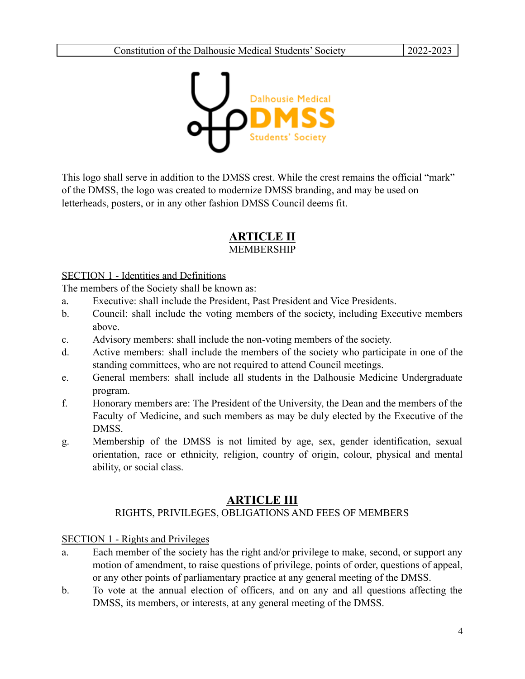

This logo shall serve in addition to the DMSS crest. While the crest remains the official "mark" of the DMSS, the logo was created to modernize DMSS branding, and may be used on letterheads, posters, or in any other fashion DMSS Council deems fit.

# **ARTICLE II** MEMBERSHIP

# SECTION 1 - Identities and Definitions

The members of the Society shall be known as:

- a. Executive: shall include the President, Past President and Vice Presidents.
- b. Council: shall include the voting members of the society, including Executive members above.
- c. Advisory members: shall include the non-voting members of the society.
- d. Active members: shall include the members of the society who participate in one of the standing committees, who are not required to attend Council meetings.
- e. General members: shall include all students in the Dalhousie Medicine Undergraduate program.
- f. Honorary members are: The President of the University, the Dean and the members of the Faculty of Medicine, and such members as may be duly elected by the Executive of the DMSS.
- g. Membership of the DMSS is not limited by age, sex, gender identification, sexual orientation, race or ethnicity, religion, country of origin, colour, physical and mental ability, or social class.

# **ARTICLE III**

# RIGHTS, PRIVILEGES, OBLIGATIONS AND FEES OF MEMBERS

# SECTION 1 - Rights and Privileges

- a. Each member of the society has the right and/or privilege to make, second, or support any motion of amendment, to raise questions of privilege, points of order, questions of appeal, or any other points of parliamentary practice at any general meeting of the DMSS.
- b. To vote at the annual election of officers, and on any and all questions affecting the DMSS, its members, or interests, at any general meeting of the DMSS.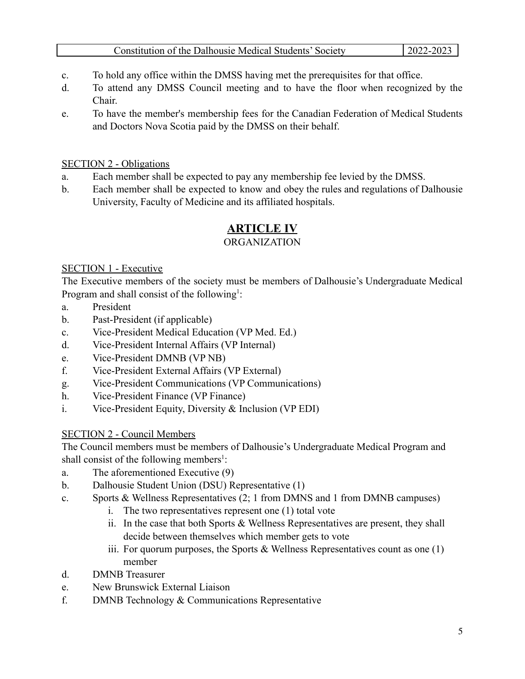- c. To hold any office within the DMSS having met the prerequisites for that office.
- d. To attend any DMSS Council meeting and to have the floor when recognized by the Chair.
- e. To have the member's membership fees for the Canadian Federation of Medical Students and Doctors Nova Scotia paid by the DMSS on their behalf.

# SECTION 2 - Obligations

- a. Each member shall be expected to pay any membership fee levied by the DMSS.
- b. Each member shall be expected to know and obey the rules and regulations of Dalhousie University, Faculty of Medicine and its affiliated hospitals.

# **ARTICLE IV**

# **ORGANIZATION**

#### SECTION 1 - Executive

The Executive members of the society must be members of Dalhousie's Undergraduate Medical Program and shall consist of the following<sup>1</sup>:

- a. President
- b. Past-President (if applicable)
- c. Vice-President Medical Education (VP Med. Ed.)
- d. Vice-President Internal Affairs (VP Internal)
- e. Vice-President DMNB (VP NB)
- f. Vice-President External Affairs (VP External)
- g. Vice-President Communications (VP Communications)
- h. Vice-President Finance (VP Finance)
- i. Vice-President Equity, Diversity & Inclusion (VP EDI)

# SECTION 2 - Council Members

The Council members must be members of Dalhousie's Undergraduate Medical Program and shall consist of the following members<sup>1</sup>:

- a. The aforementioned Executive (9)
- b. Dalhousie Student Union (DSU) Representative (1)
- c. Sports & Wellness Representatives (2; 1 from DMNS and 1 from DMNB campuses)
	- i. The two representatives represent one (1) total vote
	- ii. In the case that both Sports & Wellness Representatives are present, they shall decide between themselves which member gets to vote
	- iii. For quorum purposes, the Sports  $\&$  Wellness Representatives count as one (1) member
- d. DMNB Treasurer
- e. New Brunswick External Liaison
- f. DMNB Technology & Communications Representative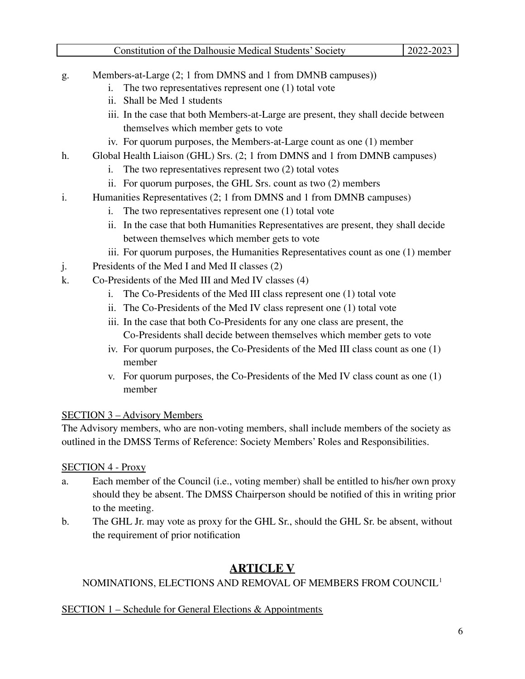| Constitution of the Dalhousie Medical Students' Society | $2022 - 2023$ |
|---------------------------------------------------------|---------------|
|---------------------------------------------------------|---------------|

- g. Members-at-Large (2; 1 from DMNS and 1 from DMNB campuses))
	- i. The two representatives represent one (1) total vote
	- ii. Shall be Med 1 students
	- iii. In the case that both Members-at-Large are present, they shall decide between themselves which member gets to vote
	- iv. For quorum purposes, the Members-at-Large count as one (1) member
- h. Global Health Liaison (GHL) Srs. (2; 1 from DMNS and 1 from DMNB campuses)
	- i. The two representatives represent two (2) total votes
	- ii. For quorum purposes, the GHL Srs. count as two (2) members
- i. Humanities Representatives (2; 1 from DMNS and 1 from DMNB campuses)
	- i. The two representatives represent one (1) total vote
	- ii. In the case that both Humanities Representatives are present, they shall decide between themselves which member gets to vote
	- iii. For quorum purposes, the Humanities Representatives count as one (1) member
- j. Presidents of the Med I and Med II classes (2)
- k. Co-Presidents of the Med III and Med IV classes (4)
	- i. The Co-Presidents of the Med III class represent one (1) total vote
	- ii. The Co-Presidents of the Med IV class represent one (1) total vote
	- iii. In the case that both Co-Presidents for any one class are present, the Co-Presidents shall decide between themselves which member gets to vote
	- iv. For quorum purposes, the Co-Presidents of the Med III class count as one (1) member
	- v. For quorum purposes, the Co-Presidents of the Med IV class count as one (1) member

# SECTION 3 – Advisory Members

The Advisory members, who are non-voting members, shall include members of the society as outlined in the DMSS Terms of Reference: Society Members' Roles and Responsibilities.

# SECTION 4 - Proxy

- a. Each member of the Council (i.e., voting member) shall be entitled to his/her own proxy should they be absent. The DMSS Chairperson should be notified of this in writing prior to the meeting.
- b. The GHL Jr. may vote as proxy for the GHL Sr., should the GHL Sr. be absent, without the requirement of prior notification

# **ARTICLE V**

# NOMINATIONS, ELECTIONS AND REMOVAL OF MEMBERS FROM COUNCIL 1

# SECTION 1 – Schedule for General Elections & Appointments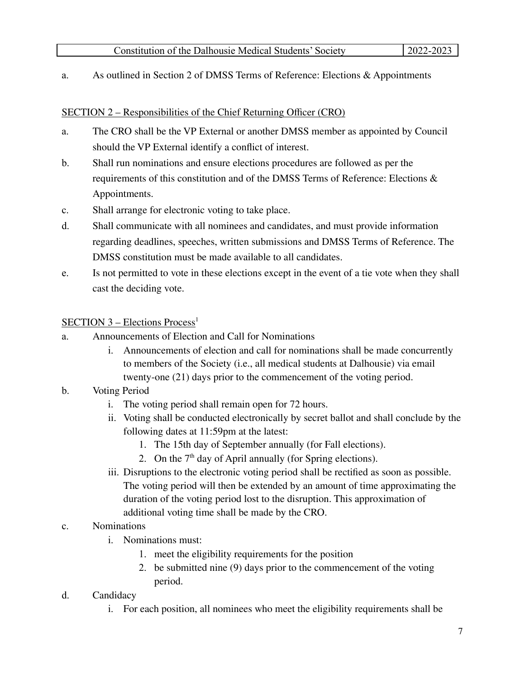a. As outlined in Section 2 of DMSS Terms of Reference: Elections & Appointments

### SECTION 2 – Responsibilities of the Chief Returning Officer (CRO)

- a. The CRO shall be the VP External or another DMSS member as appointed by Council should the VP External identify a conflict of interest.
- b. Shall run nominations and ensure elections procedures are followed as per the requirements of this constitution and of the DMSS Terms of Reference: Elections & Appointments.
- c. Shall arrange for electronic voting to take place.
- d. Shall communicate with all nominees and candidates, and must provide information regarding deadlines, speeches, written submissions and DMSS Terms of Reference. The DMSS constitution must be made available to all candidates.
- e. Is not permitted to vote in these elections except in the event of a tie vote when they shall cast the deciding vote.

# SECTION 3 – Elections Process<sup>1</sup>

- a. Announcements of Election and Call for Nominations
	- i. Announcements of election and call for nominations shall be made concurrently to members of the Society (i.e., all medical students at Dalhousie) via email twenty-one (21) days prior to the commencement of the voting period.
- b. Voting Period
	- i. The voting period shall remain open for 72 hours.
	- ii. Voting shall be conducted electronically by secret ballot and shall conclude by the following dates at 11:59pm at the latest:
		- 1. The 15th day of September annually (for Fall elections).
		- 2. On the  $7<sup>th</sup>$  day of April annually (for Spring elections).
	- iii. Disruptions to the electronic voting period shall be rectified as soon as possible. The voting period will then be extended by an amount of time approximating the duration of the voting period lost to the disruption. This approximation of additional voting time shall be made by the CRO.
- c. Nominations
	- i. Nominations must:
		- 1. meet the eligibility requirements for the position
		- 2. be submitted nine (9) days prior to the commencement of the voting period.
- d. Candidacy
	- i. For each position, all nominees who meet the eligibility requirements shall be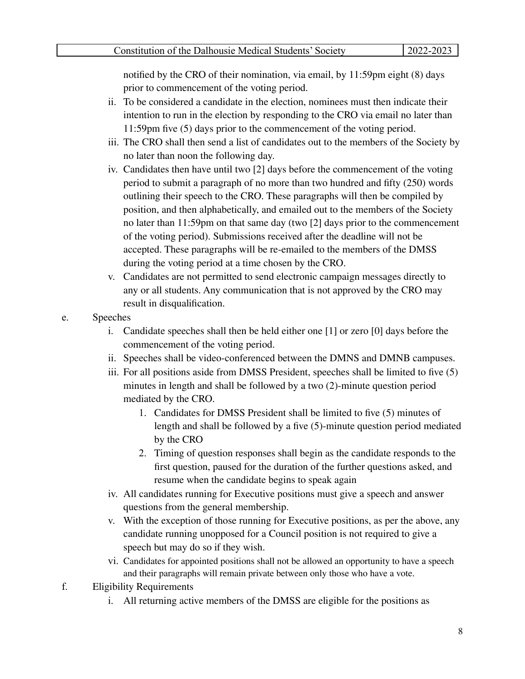notified by the CRO of their nomination, via email, by 11:59pm eight (8) days prior to commencement of the voting period.

- ii. To be considered a candidate in the election, nominees must then indicate their intention to run in the election by responding to the CRO via email no later than 11:59pm five (5) days prior to the commencement of the voting period.
- iii. The CRO shall then send a list of candidates out to the members of the Society by no later than noon the following day.
- iv. Candidates then have until two [2] days before the commencement of the voting period to submit a paragraph of no more than two hundred and fifty (250) words outlining their speech to the CRO. These paragraphs will then be compiled by position, and then alphabetically, and emailed out to the members of the Society no later than 11:59pm on that same day (two [2] days prior to the commencement of the voting period). Submissions received after the deadline will not be accepted. These paragraphs will be re-emailed to the members of the DMSS during the voting period at a time chosen by the CRO.
- v. Candidates are not permitted to send electronic campaign messages directly to any or all students. Any communication that is not approved by the CRO may result in disqualification.
- e. Speeches
	- i. Candidate speeches shall then be held either one [1] or zero [0] days before the commencement of the voting period.
	- ii. Speeches shall be video-conferenced between the DMNS and DMNB campuses.
	- iii. For all positions aside from DMSS President, speeches shall be limited to five (5) minutes in length and shall be followed by a two (2)-minute question period mediated by the CRO.
		- 1. Candidates for DMSS President shall be limited to five (5) minutes of length and shall be followed by a five (5)-minute question period mediated by the CRO
		- 2. Timing of question responses shall begin as the candidate responds to the first question, paused for the duration of the further questions asked, and resume when the candidate begins to speak again
	- iv. All candidates running for Executive positions must give a speech and answer questions from the general membership.
	- v. With the exception of those running for Executive positions, as per the above, any candidate running unopposed for a Council position is not required to give a speech but may do so if they wish.
	- vi. Candidates for appointed positions shall not be allowed an opportunity to have a speech and their paragraphs will remain private between only those who have a vote.
- f. Eligibility Requirements
	- i. All returning active members of the DMSS are eligible for the positions as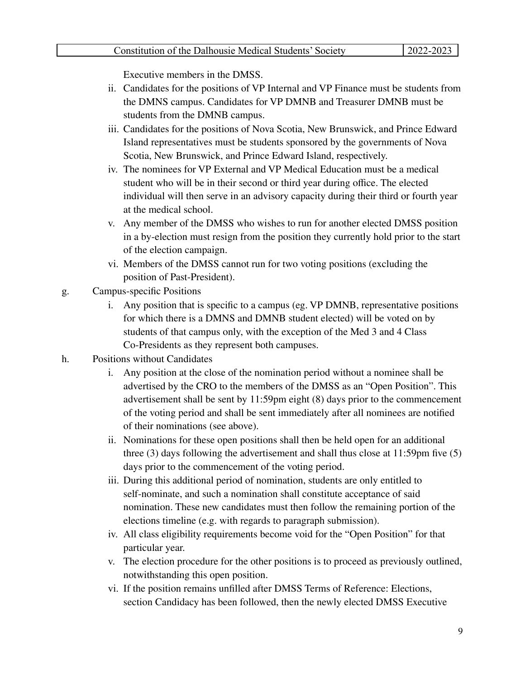Executive members in the DMSS.

- ii. Candidates for the positions of VP Internal and VP Finance must be students from the DMNS campus. Candidates for VP DMNB and Treasurer DMNB must be students from the DMNB campus.
- iii. Candidates for the positions of Nova Scotia, New Brunswick, and Prince Edward Island representatives must be students sponsored by the governments of Nova Scotia, New Brunswick, and Prince Edward Island, respectively.
- iv. The nominees for VP External and VP Medical Education must be a medical student who will be in their second or third year during office. The elected individual will then serve in an advisory capacity during their third or fourth year at the medical school.
- v. Any member of the DMSS who wishes to run for another elected DMSS position in a by-election must resign from the position they currently hold prior to the start of the election campaign.
- vi. Members of the DMSS cannot run for two voting positions (excluding the position of Past-President).
- g. Campus-specific Positions
	- i. Any position that is specific to a campus (eg. VP DMNB, representative positions for which there is a DMNS and DMNB student elected) will be voted on by students of that campus only, with the exception of the Med 3 and 4 Class Co-Presidents as they represent both campuses.
- h. Positions without Candidates
	- i. Any position at the close of the nomination period without a nominee shall be advertised by the CRO to the members of the DMSS as an "Open Position". This advertisement shall be sent by 11:59pm eight (8) days prior to the commencement of the voting period and shall be sent immediately after all nominees are notified of their nominations (see above).
	- ii. Nominations for these open positions shall then be held open for an additional three (3) days following the advertisement and shall thus close at 11:59pm five (5) days prior to the commencement of the voting period.
	- iii. During this additional period of nomination, students are only entitled to self-nominate, and such a nomination shall constitute acceptance of said nomination. These new candidates must then follow the remaining portion of the elections timeline (e.g. with regards to paragraph submission).
	- iv. All class eligibility requirements become void for the "Open Position" for that particular year.
	- v. The election procedure for the other positions is to proceed as previously outlined, notwithstanding this open position.
	- vi. If the position remains unfilled after DMSS Terms of Reference: Elections, section Candidacy has been followed, then the newly elected DMSS Executive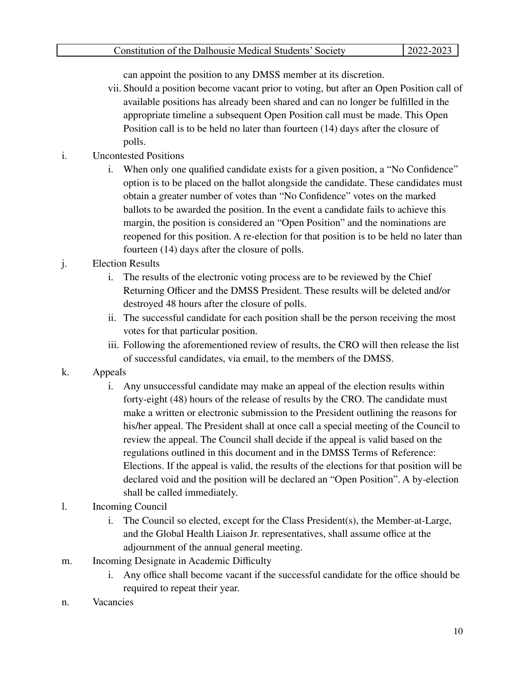can appoint the position to any DMSS member at its discretion.

- vii. Should a position become vacant prior to voting, but after an Open Position call of available positions has already been shared and can no longer be fulfilled in the appropriate timeline a subsequent Open Position call must be made. This Open Position call is to be held no later than fourteen (14) days after the closure of polls.
- i. Uncontested Positions
	- i. When only one qualified candidate exists for a given position, a "No Confidence" option is to be placed on the ballot alongside the candidate. These candidates must obtain a greater number of votes than "No Confidence" votes on the marked ballots to be awarded the position. In the event a candidate fails to achieve this margin, the position is considered an "Open Position" and the nominations are reopened for this position. A re-election for that position is to be held no later than fourteen (14) days after the closure of polls.
- j. Election Results
	- i. The results of the electronic voting process are to be reviewed by the Chief Returning Officer and the DMSS President. These results will be deleted and/or destroyed 48 hours after the closure of polls.
	- ii. The successful candidate for each position shall be the person receiving the most votes for that particular position.
	- iii. Following the aforementioned review of results, the CRO will then release the list of successful candidates, via email, to the members of the DMSS.
- k. Appeals
	- i. Any unsuccessful candidate may make an appeal of the election results within forty-eight (48) hours of the release of results by the CRO. The candidate must make a written or electronic submission to the President outlining the reasons for his/her appeal. The President shall at once call a special meeting of the Council to review the appeal. The Council shall decide if the appeal is valid based on the regulations outlined in this document and in the DMSS Terms of Reference: Elections. If the appeal is valid, the results of the elections for that position will be declared void and the position will be declared an "Open Position". A by-election shall be called immediately.
- l. Incoming Council
	- i. The Council so elected, except for the Class President(s), the Member-at-Large, and the Global Health Liaison Jr. representatives, shall assume office at the adjournment of the annual general meeting.
- m. Incoming Designate in Academic Difficulty
	- i. Any office shall become vacant if the successful candidate for the office should be required to repeat their year.
- n. Vacancies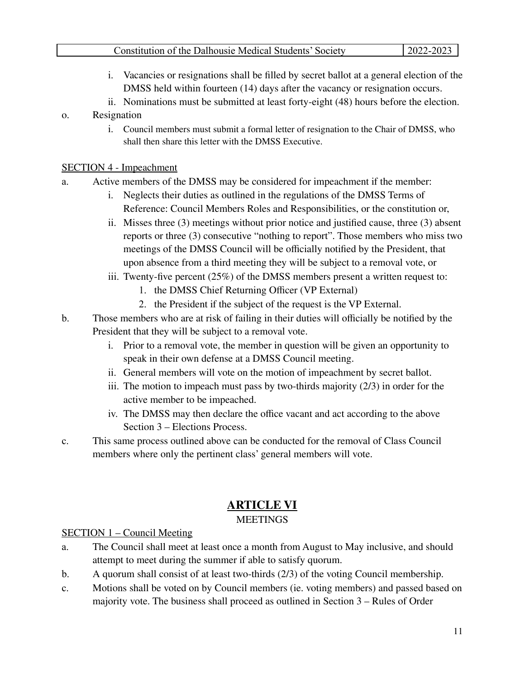- i. Vacancies or resignations shall be filled by secret ballot at a general election of the DMSS held within fourteen (14) days after the vacancy or resignation occurs.
- ii. Nominations must be submitted at least forty-eight (48) hours before the election.

# o. Resignation

i. Council members must submit a formal letter of resignation to the Chair of DMSS, who shall then share this letter with the DMSS Executive.

# SECTION 4 - Impeachment

- a. Active members of the DMSS may be considered for impeachment if the member:
	- i. Neglects their duties as outlined in the regulations of the DMSS Terms of Reference: Council Members Roles and Responsibilities, or the constitution or,
	- ii. Misses three (3) meetings without prior notice and justified cause, three (3) absent reports or three (3) consecutive "nothing to report". Those members who miss two meetings of the DMSS Council will be officially notified by the President, that upon absence from a third meeting they will be subject to a removal vote, or
	- iii. Twenty-five percent (25%) of the DMSS members present a written request to:
		- 1. the DMSS Chief Returning Officer (VP External)
		- 2. the President if the subject of the request is the VP External.
- b. Those members who are at risk of failing in their duties will officially be notified by the President that they will be subject to a removal vote.
	- i. Prior to a removal vote, the member in question will be given an opportunity to speak in their own defense at a DMSS Council meeting.
	- ii. General members will vote on the motion of impeachment by secret ballot.
	- iii. The motion to impeach must pass by two-thirds majority (2/3) in order for the active member to be impeached.
	- iv. The DMSS may then declare the office vacant and act according to the above Section 3 – Elections Process.
- c. This same process outlined above can be conducted for the removal of Class Council members where only the pertinent class' general members will vote.

# **ARTICLE VI**

# **MEETINGS**

# SECTION 1 – Council Meeting

- a. The Council shall meet at least once a month from August to May inclusive, and should attempt to meet during the summer if able to satisfy quorum.
- b. A quorum shall consist of at least two-thirds (2/3) of the voting Council membership.
- c. Motions shall be voted on by Council members (ie. voting members) and passed based on majority vote. The business shall proceed as outlined in Section 3 – Rules of Order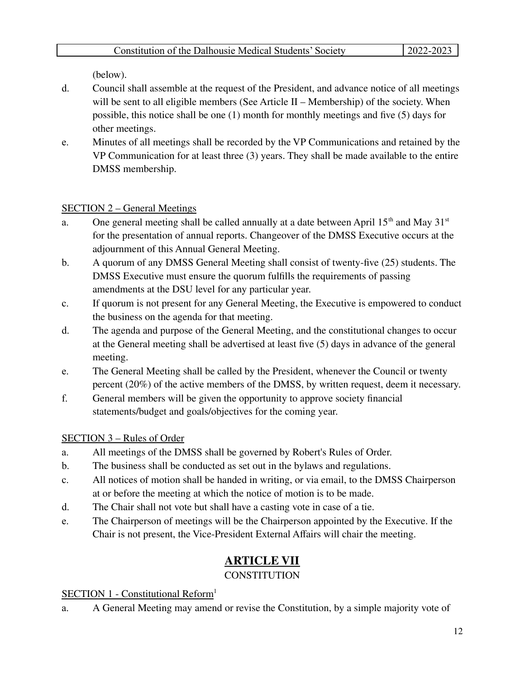(below).

- d. Council shall assemble at the request of the President, and advance notice of all meetings will be sent to all eligible members (See Article II – Membership) of the society. When possible, this notice shall be one (1) month for monthly meetings and five (5) days for other meetings.
- e. Minutes of all meetings shall be recorded by the VP Communications and retained by the VP Communication for at least three (3) years. They shall be made available to the entire DMSS membership.

# SECTION 2 – General Meetings

- a. One general meeting shall be called annually at a date between April  $15<sup>th</sup>$  and May  $31<sup>st</sup>$ for the presentation of annual reports. Changeover of the DMSS Executive occurs at the adjournment of this Annual General Meeting.
- b. A quorum of any DMSS General Meeting shall consist of twenty-five (25) students. The DMSS Executive must ensure the quorum fulfills the requirements of passing amendments at the DSU level for any particular year.
- c. If quorum is not present for any General Meeting, the Executive is empowered to conduct the business on the agenda for that meeting.
- d. The agenda and purpose of the General Meeting, and the constitutional changes to occur at the General meeting shall be advertised at least five (5) days in advance of the general meeting.
- e. The General Meeting shall be called by the President, whenever the Council or twenty percent (20%) of the active members of the DMSS, by written request, deem it necessary.
- f. General members will be given the opportunity to approve society financial statements/budget and goals/objectives for the coming year.

# SECTION 3 – Rules of Order

- a. All meetings of the DMSS shall be governed by Robert's Rules of Order.
- b. The business shall be conducted as set out in the bylaws and regulations.
- c. All notices of motion shall be handed in writing, or via email, to the DMSS Chairperson at or before the meeting at which the notice of motion is to be made.
- d. The Chair shall not vote but shall have a casting vote in case of a tie.
- e. The Chairperson of meetings will be the Chairperson appointed by the Executive. If the Chair is not present, the Vice-President External Affairs will chair the meeting.

# **ARTICLE VII**

# **CONSTITUTION**

# SECTION 1 - Constitutional Reform<sup>1</sup>

a. A General Meeting may amend or revise the Constitution, by a simple majority vote of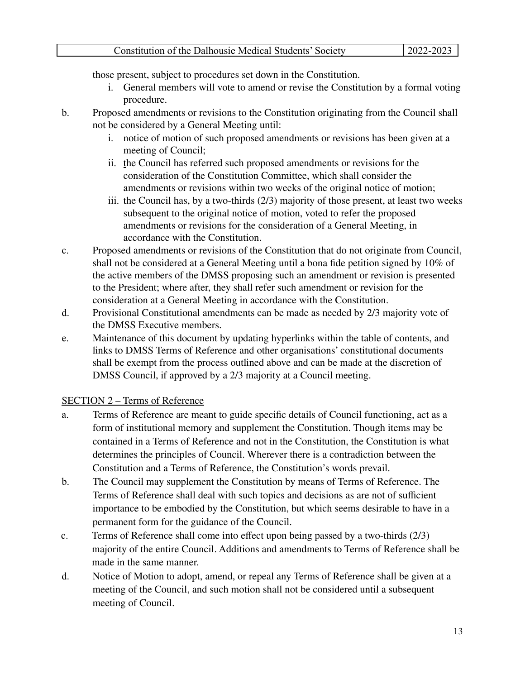those present, subject to procedures set down in the Constitution.

- i. General members will vote to amend or revise the Constitution by a formal voting procedure.
- b. Proposed amendments or revisions to the Constitution originating from the Council shall not be considered by a General Meeting until:
	- i. notice of motion of such proposed amendments or revisions has been given at a meeting of Council;
	- ii. the Council has referred such proposed amendments or revisions for the consideration of the Constitution Committee, which shall consider the amendments or revisions within two weeks of the original notice of motion;
	- iii. the Council has, by a two-thirds (2/3) majority of those present, at least two weeks subsequent to the original notice of motion, voted to refer the proposed amendments or revisions for the consideration of a General Meeting, in accordance with the Constitution.
- c. Proposed amendments or revisions of the Constitution that do not originate from Council, shall not be considered at a General Meeting until a bona fide petition signed by 10% of the active members of the DMSS proposing such an amendment or revision is presented to the President; where after, they shall refer such amendment or revision for the consideration at a General Meeting in accordance with the Constitution.
- d. Provisional Constitutional amendments can be made as needed by 2/3 majority vote of the DMSS Executive members.
- e. Maintenance of this document by updating hyperlinks within the table of contents, and links to DMSS Terms of Reference and other organisations' constitutional documents shall be exempt from the process outlined above and can be made at the discretion of DMSS Council, if approved by a 2/3 majority at a Council meeting.

# SECTION 2 – Terms of Reference

- a. Terms of Reference are meant to guide specific details of Council functioning, act as a form of institutional memory and supplement the Constitution. Though items may be contained in a Terms of Reference and not in the Constitution, the Constitution is what determines the principles of Council. Wherever there is a contradiction between the Constitution and a Terms of Reference, the Constitution's words prevail.
- b. The Council may supplement the Constitution by means of Terms of Reference. The Terms of Reference shall deal with such topics and decisions as are not of sufficient importance to be embodied by the Constitution, but which seems desirable to have in a permanent form for the guidance of the Council.
- c. Terms of Reference shall come into effect upon being passed by a two-thirds (2/3) majority of the entire Council. Additions and amendments to Terms of Reference shall be made in the same manner.
- d. Notice of Motion to adopt, amend, or repeal any Terms of Reference shall be given at a meeting of the Council, and such motion shall not be considered until a subsequent meeting of Council.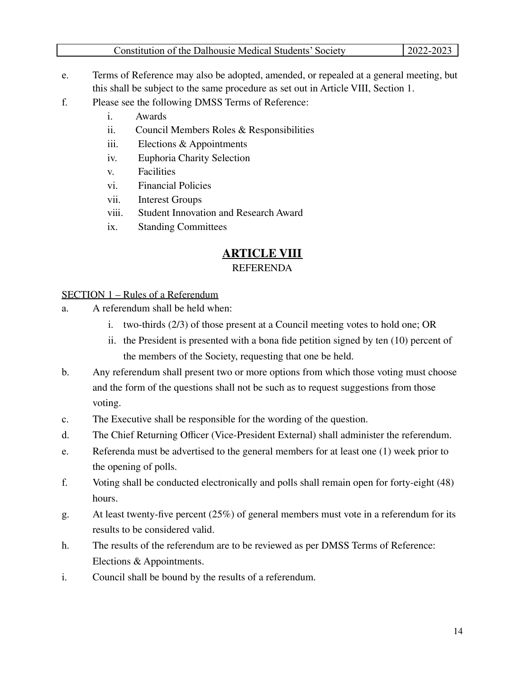- e. Terms of Reference may also be adopted, amended, or repealed at a general meeting, but this shall be subject to the same procedure as set out in Article VIII, Section 1.
- f. Please see the following DMSS Terms of Reference:
	- i. Awards
	- ii. Council Members Roles & Responsibilities
	- iii. Elections & Appointments
	- iv. Euphoria Charity Selection
	- v. Facilities
	- vi. Financial Policies
	- vii. Interest Groups
	- viii. Student Innovation and Research Award
	- ix. Standing Committees

# **ARTICLE VIII**

#### REFERENDA

# SECTION 1 – Rules of a Referendum

- a. A referendum shall be held when:
	- i. two-thirds (2/3) of those present at a Council meeting votes to hold one; OR
	- ii. the President is presented with a bona fide petition signed by ten (10) percent of the members of the Society, requesting that one be held.
- b. Any referendum shall present two or more options from which those voting must choose and the form of the questions shall not be such as to request suggestions from those voting.
- c. The Executive shall be responsible for the wording of the question.
- d. The Chief Returning Officer (Vice-President External) shall administer the referendum.
- e. Referenda must be advertised to the general members for at least one (1) week prior to the opening of polls.
- f. Voting shall be conducted electronically and polls shall remain open for forty-eight (48) hours.
- g. At least twenty-five percent (25%) of general members must vote in a referendum for its results to be considered valid.
- h. The results of the referendum are to be reviewed as per DMSS Terms of Reference: Elections & Appointments.
- i. Council shall be bound by the results of a referendum.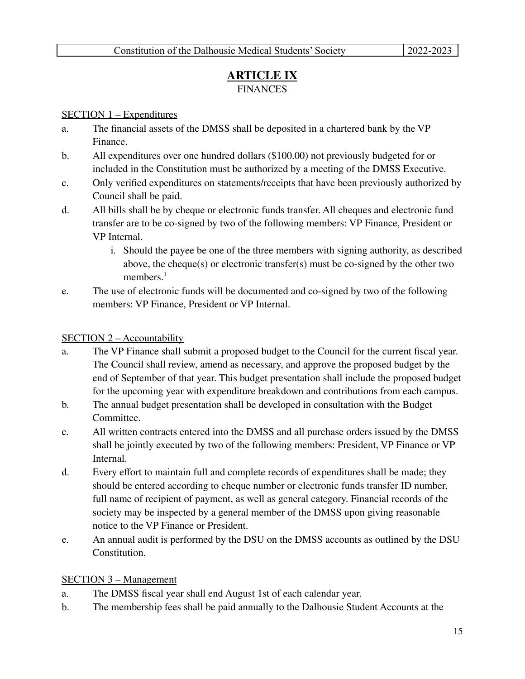# **ARTICLE IX FINANCES**

#### SECTION 1 – Expenditures

- a. The financial assets of the DMSS shall be deposited in a chartered bank by the VP Finance.
- b. All expenditures over one hundred dollars (\$100.00) not previously budgeted for or included in the Constitution must be authorized by a meeting of the DMSS Executive.
- c. Only verified expenditures on statements/receipts that have been previously authorized by Council shall be paid.
- d. All bills shall be by cheque or electronic funds transfer. All cheques and electronic fund transfer are to be co-signed by two of the following members: VP Finance, President or VP Internal.
	- i. Should the payee be one of the three members with signing authority, as described above, the cheque(s) or electronic transfer(s) must be co-signed by the other two members.<sup>1</sup>
- e. The use of electronic funds will be documented and co-signed by two of the following members: VP Finance, President or VP Internal.

# SECTION 2 – Accountability

- a. The VP Finance shall submit a proposed budget to the Council for the current fiscal year. The Council shall review, amend as necessary, and approve the proposed budget by the end of September of that year. This budget presentation shall include the proposed budget for the upcoming year with expenditure breakdown and contributions from each campus.
- b. The annual budget presentation shall be developed in consultation with the Budget Committee.
- c. All written contracts entered into the DMSS and all purchase orders issued by the DMSS shall be jointly executed by two of the following members: President, VP Finance or VP Internal.
- d. Every effort to maintain full and complete records of expenditures shall be made; they should be entered according to cheque number or electronic funds transfer ID number, full name of recipient of payment, as well as general category. Financial records of the society may be inspected by a general member of the DMSS upon giving reasonable notice to the VP Finance or President.
- e. An annual audit is performed by the DSU on the DMSS accounts as outlined by the DSU Constitution.

#### SECTION 3 – Management

- a. The DMSS fiscal year shall end August 1st of each calendar year.
- b. The membership fees shall be paid annually to the Dalhousie Student Accounts at the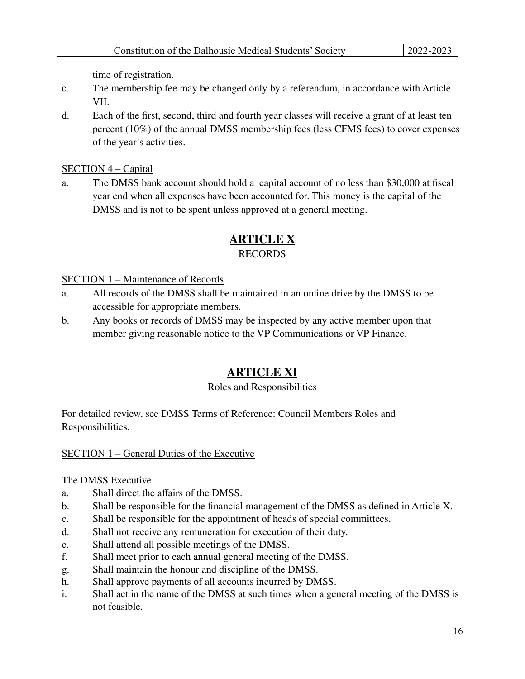time of registration.

- c. The membership fee may be changed only by a referendum, in accordance with Article VII.
- d. Each of the first, second, third and fourth year classes will receive a grant of at least ten percent (10%) of the annual DMSS membership fees (less CFMS fees) to cover expenses of the year's activities.

# SECTION 4 – Capital

a. The DMSS bank account should hold a capital account of no less than \$30,000 at fiscal year end when all expenses have been accounted for. This money is the capital of the DMSS and is not to be spent unless approved at a general meeting.

# **ARTICLE X**

# RECORDS

# SECTION 1 – Maintenance of Records

- a. All records of the DMSS shall be maintained in an online drive by the DMSS to be accessible for appropriate members.
- b. Any books or records of DMSS may be inspected by any active member upon that member giving reasonable notice to the VP Communications or VP Finance.

# **ARTICLE XI**

# Roles and Responsibilities

For detailed review, see DMSS Terms of Reference: Council Members Roles and Responsibilities.

# SECTION 1 – General Duties of the Executive

# The DMSS Executive

- a. Shall direct the affairs of the DMSS.
- b. Shall be responsible for the financial management of the DMSS as defined in Article X.
- c. Shall be responsible for the appointment of heads of special committees.
- d. Shall not receive any remuneration for execution of their duty.
- e. Shall attend all possible meetings of the DMSS.
- f. Shall meet prior to each annual general meeting of the DMSS.
- g. Shall maintain the honour and discipline of the DMSS.
- h. Shall approve payments of all accounts incurred by DMSS.
- i. Shall act in the name of the DMSS at such times when a general meeting of the DMSS is not feasible.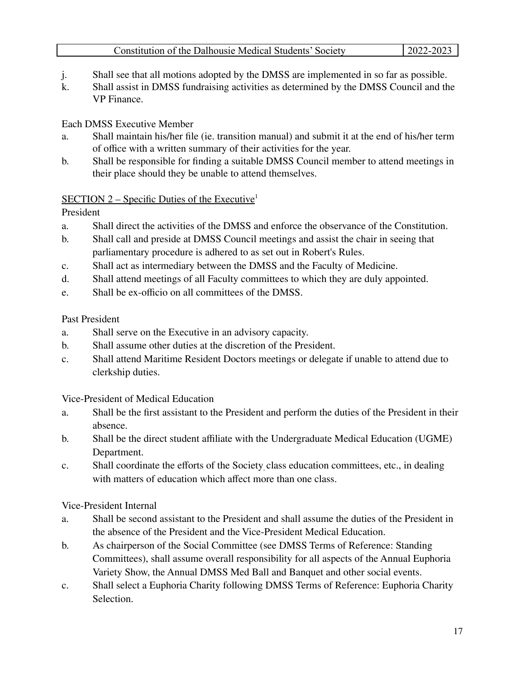- j. Shall see that all motions adopted by the DMSS are implemented in so far as possible.
- k. Shall assist in DMSS fundraising activities as determined by the DMSS Council and the VP Finance.

# Each DMSS Executive Member

- a. Shall maintain his/her file (ie. transition manual) and submit it at the end of his/her term of office with a written summary of their activities for the year.
- b. Shall be responsible for finding a suitable DMSS Council member to attend meetings in their place should they be unable to attend themselves.

# SECTION  $2$  – Specific Duties of the Executive<sup>1</sup>

President

- a. Shall direct the activities of the DMSS and enforce the observance of the Constitution.
- b. Shall call and preside at DMSS Council meetings and assist the chair in seeing that parliamentary procedure is adhered to as set out in Robert's Rules.
- c. Shall act as intermediary between the DMSS and the Faculty of Medicine.
- d. Shall attend meetings of all Faculty committees to which they are duly appointed.
- e. Shall be ex-officio on all committees of the DMSS.

# Past President

- a. Shall serve on the Executive in an advisory capacity.
- b. Shall assume other duties at the discretion of the President.
- c. Shall attend Maritime Resident Doctors meetings or delegate if unable to attend due to clerkship duties.

Vice-President of Medical Education

- a. Shall be the first assistant to the President and perform the duties of the President in their absence.
- b. Shall be the direct student affiliate with the Undergraduate Medical Education (UGME) Department.
- c. Shall coordinate the efforts of the Society class education committees, etc., in dealing with matters of education which affect more than one class.

Vice-President Internal

- a. Shall be second assistant to the President and shall assume the duties of the President in the absence of the President and the Vice-President Medical Education.
- b. As chairperson of the Social Committee (see DMSS Terms of Reference: Standing Committees), shall assume overall responsibility for all aspects of the Annual Euphoria Variety Show, the Annual DMSS Med Ball and Banquet and other social events.
- c. Shall select a Euphoria Charity following DMSS Terms of Reference: Euphoria Charity **Selection**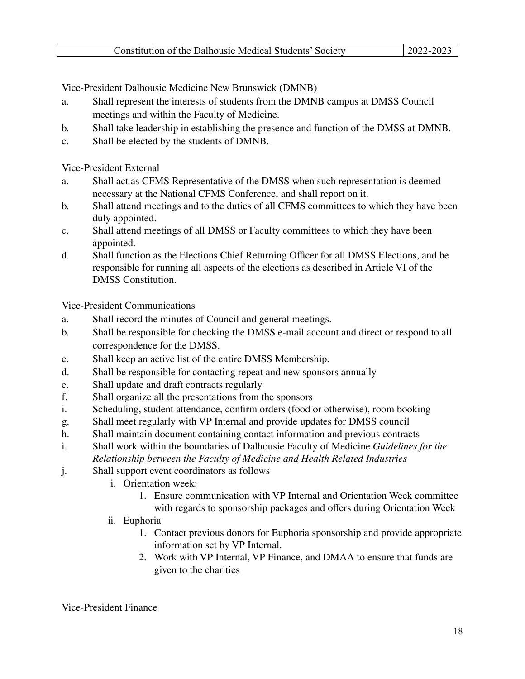Vice-President Dalhousie Medicine New Brunswick (DMNB)

- a. Shall represent the interests of students from the DMNB campus at DMSS Council meetings and within the Faculty of Medicine.
- b. Shall take leadership in establishing the presence and function of the DMSS at DMNB.
- c. Shall be elected by the students of DMNB.

Vice-President External

- a. Shall act as CFMS Representative of the DMSS when such representation is deemed necessary at the National CFMS Conference, and shall report on it.
- b. Shall attend meetings and to the duties of all CFMS committees to which they have been duly appointed.
- c. Shall attend meetings of all DMSS or Faculty committees to which they have been appointed.
- d. Shall function as the Elections Chief Returning Officer for all DMSS Elections, and be responsible for running all aspects of the elections as described in Article VI of the DMSS Constitution.

Vice-President Communications

- a. Shall record the minutes of Council and general meetings.
- b. Shall be responsible for checking the DMSS e-mail account and direct or respond to all correspondence for the DMSS.
- c. Shall keep an active list of the entire DMSS Membership.
- d. Shall be responsible for contacting repeat and new sponsors annually
- e. Shall update and draft contracts regularly
- f. Shall organize all the presentations from the sponsors
- i. Scheduling, student attendance, confirm orders (food or otherwise), room booking
- g. Shall meet regularly with VP Internal and provide updates for DMSS council
- h. Shall maintain document containing contact information and previous contracts
- i. Shall work within the boundaries of Dalhousie Faculty of Medicine *Guidelines for the*

*Relationship between the Faculty of Medicine and Health Related Industries*

- j. Shall support event coordinators as follows
	- i. Orientation week:
		- 1. Ensure communication with VP Internal and Orientation Week committee with regards to sponsorship packages and offers during Orientation Week
	- ii. Euphoria
		- 1. Contact previous donors for Euphoria sponsorship and provide appropriate information set by VP Internal.
		- 2. Work with VP Internal, VP Finance, and DMAA to ensure that funds are given to the charities

Vice-President Finance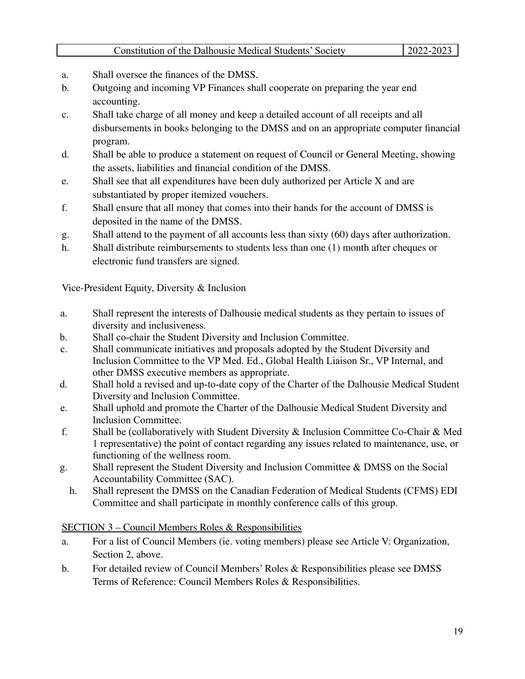- a. Shall oversee the finances of the DMSS.
- b. Outgoing and incoming VP Finances shall cooperate on preparing the year end accounting.
- c. Shall take charge of all money and keep a detailed account of all receipts and all disbursements in books belonging to the DMSS and on an appropriate computer financial program.
- d. Shall be able to produce a statement on request of Council or General Meeting, showing the assets, liabilities and financial condition of the DMSS.
- e. Shall see that all expenditures have been duly authorized per Article X and are substantiated by proper itemized vouchers.
- f. Shall ensure that all money that comes into their hands for the account of DMSS is deposited in the name of the DMSS.
- g. Shall attend to the payment of all accounts less than sixty (60) days after authorization.
- h. Shall distribute reimbursements to students less than one (1) month after cheques or electronic fund transfers are signed.

Vice-President Equity, Diversity & Inclusion

- a. Shall represent the interests of Dalhousie medical students as they pertain to issues of diversity and inclusiveness.
- b. Shall co-chair the Student Diversity and Inclusion Committee.
- c. Shall communicate initiatives and proposals adopted by the Student Diversity and Inclusion Committee to the VP Med. Ed., Global Health Liaison Sr., VP Internal, and other DMSS executive members as appropriate.
- d. Shall hold a revised and up-to-date copy of the Charter of the Dalhousie Medical Student Diversity and Inclusion Committee.
- e. Shall uphold and promote the Charter of the Dalhousie Medical Student Diversity and Inclusion Committee.
- f. Shall be (collaboratively with Student Diversity & Inclusion Committee Co-Chair & Med 1 representative) the point of contact regarding any issues related to maintenance, use, or functioning of the wellness room.
- g. Shall represent the Student Diversity and Inclusion Committee & DMSS on the Social Accountability Committee (SAC).
	- h. Shall represent the DMSS on the Canadian Federation of Medical Students (CFMS) EDI Committee and shall participate in monthly conference calls of this group.

# SECTION 3 – Council Members Roles & Responsibilities

- a. For a list of Council Members (ie. voting members) please see Article V: Organization, Section 2, above.
- b. For detailed review of Council Members' Roles & Responsibilities please see DMSS Terms of Reference: Council Members Roles & Responsibilities.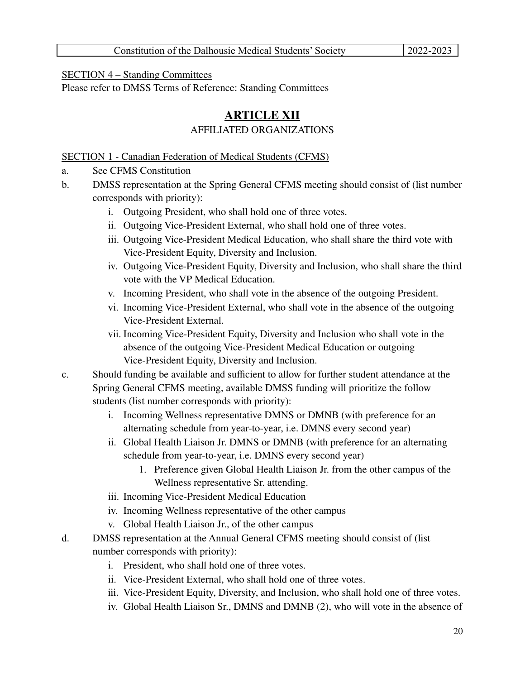### SECTION 4 – Standing Committees

Please refer to DMSS Terms of Reference: Standing Committees

# **ARTICLE XII**

# AFFILIATED ORGANIZATIONS

SECTION 1 - Canadian Federation of Medical Students (CFMS)

- a. See CFMS Constitution
- b. DMSS representation at the Spring General CFMS meeting should consist of (list number corresponds with priority):
	- i. Outgoing President, who shall hold one of three votes.
	- ii. Outgoing Vice-President External, who shall hold one of three votes.
	- iii. Outgoing Vice-President Medical Education, who shall share the third vote with Vice-President Equity, Diversity and Inclusion.
	- iv. Outgoing Vice-President Equity, Diversity and Inclusion, who shall share the third vote with the VP Medical Education.
	- v. Incoming President, who shall vote in the absence of the outgoing President.
	- vi. Incoming Vice-President External, who shall vote in the absence of the outgoing Vice-President External.
	- vii. Incoming Vice-President Equity, Diversity and Inclusion who shall vote in the absence of the outgoing Vice-President Medical Education or outgoing Vice-President Equity, Diversity and Inclusion.
- c. Should funding be available and sufficient to allow for further student attendance at the Spring General CFMS meeting, available DMSS funding will prioritize the follow students (list number corresponds with priority):
	- i. Incoming Wellness representative DMNS or DMNB (with preference for an alternating schedule from year-to-year, i.e. DMNS every second year)
	- ii. Global Health Liaison Jr. DMNS or DMNB (with preference for an alternating schedule from year-to-year, i.e. DMNS every second year)
		- 1. Preference given Global Health Liaison Jr. from the other campus of the Wellness representative Sr. attending.
	- iii. Incoming Vice-President Medical Education
	- iv. Incoming Wellness representative of the other campus
	- v. Global Health Liaison Jr., of the other campus
- d. DMSS representation at the Annual General CFMS meeting should consist of (list number corresponds with priority):
	- i. President, who shall hold one of three votes.
	- ii. Vice-President External, who shall hold one of three votes.
	- iii. Vice-President Equity, Diversity, and Inclusion, who shall hold one of three votes.
	- iv. Global Health Liaison Sr., DMNS and DMNB (2), who will vote in the absence of